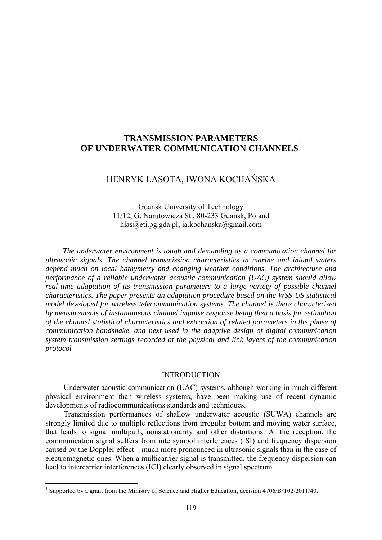# **TRANSMISSION PARAMETERS OF UNDERWATER COMMUNICATION CHANNELS**<sup>1</sup>

## HENRYK LASOTA, IWONA KOCHAŃSKA

Gdansk University of Technology 11/12, G. Narutowicza St., 80-233 Gdańsk, Poland hlas@eti.pg.gda.pl; ia.kochanska@gmail.com

*The underwater environment is tough and demanding as a communication channel for ultrasonic signals. The channel transmission characteristics in marine and inland waters depend much on local bathymetry and changing weather conditions. The architecture and performance of a reliable underwater acoustic communication (UAC) system should allow real-time adaptation of its transmission parameters to a large variety of possible channel characteristics. The paper presents an adaptation procedure based on the WSS-US statistical model developed for wireless telecommunication systems. The channel is there characterized by measurements of instantaneous channel impulse response being then a basis for estimation of the channel statistical characteristics and extraction of related parameters in the phase of communication handshake, and next used in the adaptive design of digital communication system transmission settings recorded at the physical and link layers of the communication protocol* 

### INTRODUCTION

Underwater acoustic communication (UAC) systems, although working in much different physical environment than wireless systems, have been making use of recent dynamic developments of radiocommunications standards and techniques.

Transmission performances of shallow underwater acoustic (SUWA) channels are strongly limited due to multiple reflections from irregular bottom and moving water surface, that leads to signal multipath, nonstationarity and other distortions. At the reception, the communication signal suffers from intersymbol interferences (ISI) and frequency dispersion caused by the Doppler effect – much more pronounced in ultrasonic signals than in the case of electromagnetic ones. When a multicarrier signal is transmitted, the frequency dispersion can lead to intercarrier interferences (ICI) clearly observed in signal spectrum.

 1 Supported by a grant from the Ministry of Science and Higher Education, decision 4706/B/T02/2011/40.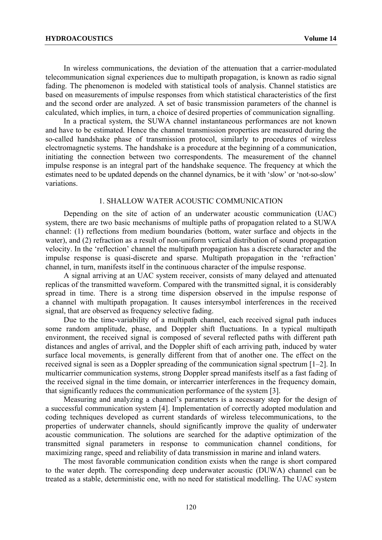In wireless communications, the deviation of the attenuation that a carrier-modulated telecommunication signal experiences due to multipath propagation, is known as radio signal fading. The phenomenon is modeled with statistical tools of analysis. Channel statistics are based on measurements of impulse responses from which statistical characteristics of the first and the second order are analyzed. A set of basic transmission parameters of the channel is calculated, which implies, in turn, a choice of desired properties of communication signalling.

In a practical system, the SUWA channel instantaneous performances are not known and have to be estimated. Hence the channel transmission properties are measured during the so-called handshake phase of transmission protocol, similarly to procedures of wireless electromagnetic systems. The handshake is a procedure at the beginning of a communication, initiating the connection between two correspondents. The measurement of the channel impulse response is an integral part of the handshake sequence. The frequency at which the estimates need to be updated depends on the channel dynamics, be it with 'slow' or 'not-so-slow' variations.

## 1. SHALLOW WATER ACOUSTIC COMMUNICATION

Depending on the site of action of an underwater acoustic communication (UAC) system, there are two basic mechanisms of multiple paths of propagation related to a SUWA channel: (1) reflections from medium boundaries (bottom, water surface and objects in the water), and (2) refraction as a result of non-uniform vertical distribution of sound propagation velocity. In the 'reflection' channel the multipath propagation has a discrete character and the impulse response is quasi-discrete and sparse. Multipath propagation in the 'refraction' channel, in turn, manifests itself in the continuous character of the impulse response.

A signal arriving at an UAC system receiver, consists of many delayed and attenuated replicas of the transmitted waveform. Compared with the transmitted signal, it is considerably spread in time. There is a strong time dispersion observed in the impulse response of a channel with multipath propagation. It causes intersymbol interferences in the received signal, that are observed as frequency selective fading.

Due to the time-variability of a multipath channel, each received signal path induces some random amplitude, phase, and Doppler shift fluctuations. In a typical multipath environment, the received signal is composed of several reflected paths with different path distances and angles of arrival, and the Doppler shift of each arriving path, induced by water surface local movements, is generally different from that of another one. The effect on the received signal is seen as a Doppler spreading of the communication signal spectrum [1–2]. In multicarrier communication systems, strong Doppler spread manifests itself as a fast fading of the received signal in the time domain, or intercarrier interferences in the frequency domain, that significantly reduces the communication performance of the system [3].

Measuring and analyzing a channel's parameters is a necessary step for the design of a successful communication system [4]. Implementation of correctly adopted modulation and coding techniques developed as current standards of wireless telecommunications, to the properties of underwater channels, should significantly improve the quality of underwater acoustic communication. The solutions are searched for the adaptive optimization of the transmitted signal parameters in response to communication channel conditions, for maximizing range, speed and reliability of data transmission in marine and inland waters.

The most favorable communication condition exists when the range is short compared to the water depth. The corresponding deep underwater acoustic (DUWA) channel can be treated as a stable, deterministic one, with no need for statistical modelling. The UAC system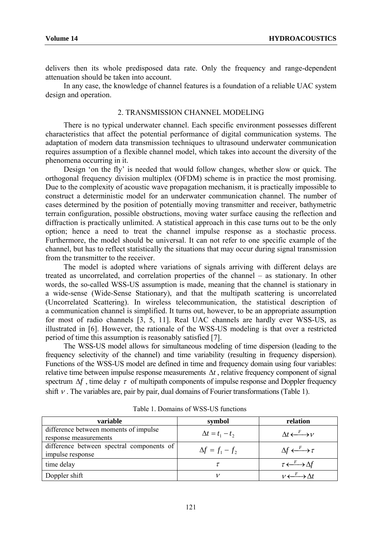delivers then its whole predisposed data rate. Only the frequency and range-dependent attenuation should be taken into account.

In any case, the knowledge of channel features is a foundation of a reliable UAC system design and operation.

#### 2. TRANSMISSION CHANNEL MODELING

There is no typical underwater channel. Each specific environment possesses different characteristics that affect the potential performance of digital communication systems. The adaptation of modern data transmission techniques to ultrasound underwater communication requires assumption of a flexible channel model, which takes into account the diversity of the phenomena occurring in it.

Design 'on the fly' is needed that would follow changes, whether slow or quick. The orthogonal frequency division multiplex (OFDM) scheme is in practice the most promising. Due to the complexity of acoustic wave propagation mechanism, it is practically impossible to construct a deterministic model for an underwater communication channel. The number of cases determined by the position of potentially moving transmitter and receiver, bathymetric terrain configuration, possible obstructions, moving water surface causing the reflection and diffraction is practically unlimited. A statistical approach in this case turns out to be the only option; hence a need to treat the channel impulse response as a stochastic process. Furthermore, the model should be universal. It can not refer to one specific example of the channel, but has to reflect statistically the situations that may occur during signal transmission from the transmitter to the receiver.

The model is adopted where variations of signals arriving with different delays are treated as uncorrelated, and correlation properties of the channel – as stationary. In other words, the so-called WSS-US assumption is made, meaning that the channel is stationary in a wide-sense (Wide-Sense Stationary), and that the multipath scattering is uncorrelated (Uncorrelated Scattering). In wireless telecommunication, the statistical description of a communication channel is simplified. It turns out, however, to be an appropriate assumption for most of radio channels [3, 5, 11]. Real UAC channels are hardly ever WSS-US, as illustrated in [6]. However, the rationale of the WSS-US modeling is that over a restricted period of time this assumption is reasonably satisfied [7].

The WSS-US model allows for simultaneous modeling of time dispersion (leading to the frequency selectivity of the channel) and time variability (resulting in frequency dispersion). Functions of the WSS-US model are defined in time and frequency domain using four variables: relative time between impulse response measurements Δ*t* , relative frequency component of signal spectrum  $\Delta f$ , time delay  $\tau$  of multipath components of impulse response and Doppler frequency shift  $\nu$ . The variables are, pair by pair, dual domains of Fourier transformations (Table 1).

| variable                                  | symbol                 | relation                                        |  |
|-------------------------------------------|------------------------|-------------------------------------------------|--|
| difference between moments of impulse     | $\Delta t = t_1 - t_2$ | $\Lambda t \stackrel{F}{\longleftrightarrow} V$ |  |
| response measurements                     |                        |                                                 |  |
| difference between spectral components of | $\Delta f = f_1 - f_2$ | $\Delta f \longleftrightarrow^F \tau$           |  |
| impulse response                          |                        |                                                 |  |
| time delay                                |                        | $\tau \longleftrightarrow \Delta f$             |  |
| Doppler shift                             | ν                      |                                                 |  |

Table 1. Domains of WSS-US functions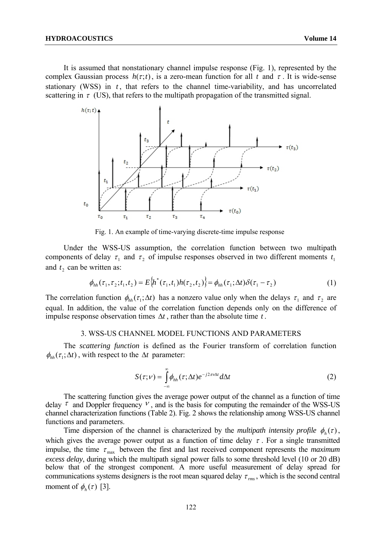It is assumed that nonstationary channel impulse response (Fig. 1), represented by the complex Gaussian process  $h(\tau; t)$ , is a zero-mean function for all  $t$  and  $\tau$ . It is wide-sense stationary (WSS) in  $t$ , that refers to the channel time-variability, and has uncorrelated scattering in  $\tau$  (US), that refers to the multipath propagation of the transmitted signal.



Fig. 1. An example of time-varying discrete-time impulse response

Under the WSS-US assumption, the correlation function between two multipath components of delay  $\tau_1$  and  $\tau_2$  of impulse responses observed in two different moments  $t_1$ and  $t_2$  can be written as:

$$
\phi_{hh}(\tau_1, \tau_2; t_1, t_2) = E\{h^*(\tau_1, t_1)h(\tau_2, t_2)\} = \phi_{hh}(\tau_1; \Delta t)\delta(\tau_1 - \tau_2)
$$
\n(1)

The correlation function  $\phi_{hh}(\tau_1; \Delta t)$  has a nonzero value only when the delays  $\tau_1$  and  $\tau_2$  are equal. In addition, the value of the correlation function depends only on the difference of impulse response observation times  $\Delta t$ , rather than the absolute time  $t$ .

#### 3. WSS-US CHANNEL MODEL FUNCTIONS AND PARAMETERS

The *scattering function* is defined as the Fourier transform of correlation function  $\phi_{hh}(\tau_1; \Delta t)$ , with respect to the  $\Delta t$  parameter:

$$
S(\tau;\nu) = \int_{-\infty}^{\infty} \phi_{hh}(\tau;\Delta t) e^{-j2\pi\nu\Delta t} d\Delta t
$$
 (2)

The scattering function gives the average power output of the channel as a function of time delay  $\tau$  and Doppler frequency  $V$ , and is the basis for computing the remainder of the WSS-US channel characterization functions (Table 2). Fig. 2 shows the relationship among WSS-US channel functions and parameters.

Time dispersion of the channel is characterized by the *multipath intensity profile*  $\phi_h(\tau)$ , which gives the average power output as a function of time delay  $\tau$ . For a single transmitted impulse, the time  $\tau_{\text{max}}$  between the first and last received component represents the *maximum excess delay*, during which the multipath signal power falls to some threshold level (10 or 20 dB) below that of the strongest component. A more useful measurement of delay spread for communications systems designers is the root mean squared delay  $\tau_{rms}$ , which is the second central moment of  $\phi_h(\tau)$  [3].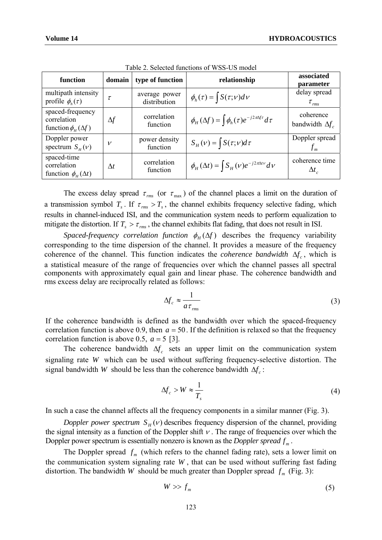| function                                                       | domain       | type of function              | relationship                                                        | associated<br><i>parameter</i>        |
|----------------------------------------------------------------|--------------|-------------------------------|---------------------------------------------------------------------|---------------------------------------|
| multipath intensity<br>profile $\phi_h(\tau)$                  | $\tau$       | average power<br>distribution | $\phi_h(\tau) = \int S(\tau, v) dv$                                 | delay spread<br>$\tau$ <sub>rms</sub> |
| spaced-frequency<br>correlation<br>function $\phi_H(\Delta f)$ | $\Delta f$   | correlation<br>function       | $\phi_H(\Delta f) = \int \phi_h(\tau) e^{-j2\pi\Delta f\tau} d\tau$ | coherence<br>bandwidth $\Delta f_c$   |
| Doppler power<br>spectrum $S_{H}(\nu)$                         | $\mathcal V$ | power density<br>function     | $S_H(v) = \int S(\tau, v) d\tau$                                    | Doppler spread<br>$f_m$               |
| spaced-time<br>correlation<br>function $\phi_{H}(\Delta t)$    | $\Delta t$   | correlation<br>function       | $\phi_H(\Delta t) = \int S_H(v)e^{-j2\pi\Delta t v}dv$              | coherence time<br>$\Delta t$          |

Table 2. Selected functions of WSS-US model

The excess delay spread  $\tau_{rms}$  (or  $\tau_{max}$ ) of the channel places a limit on the duration of a transmission symbol  $T_s$ . If  $\tau_{rms} > T_s$ , the channel exhibits frequency selective fading, which results in channel-induced ISI, and the communication system needs to perform equalization to mitigate the distortion. If  $T_s > \tau_{rms}$ , the channel exhibits flat fading, that does not result in ISI.

*Spaced-frequency correlation function*  $\phi_H(\Delta f)$  describes the frequency variability corresponding to the time dispersion of the channel. It provides a measure of the frequency coherence of the channel. This function indicates the *coherence bandwidth*  $\Delta f_c$ , which is a statistical measure of the range of frequencies over which the channel passes all spectral components with approximately equal gain and linear phase. The coherence bandwidth and rms excess delay are reciprocally related as follows:

$$
\Delta f_c \approx \frac{1}{a \tau_{rms}} \tag{3}
$$

If the coherence bandwidth is defined as the bandwidth over which the spaced-frequency correlation function is above 0.9, then  $a = 50$ . If the definition is relaxed so that the frequency correlation function is above 0.5,  $a = 5$  [3].

The coherence bandwidth  $\Delta f_c$  sets an upper limit on the communication system signaling rate *W* which can be used without suffering frequency-selective distortion. The signal bandwidth *W* should be less than the coherence bandwidth  $\Delta f_c$ :

$$
\Delta f_c > W \approx \frac{1}{T_s} \tag{4}
$$

In such a case the channel affects all the frequency components in a similar manner (Fig. 3).

*Doppler power spectrum*  $S_H(v)$  describes frequency dispersion of the channel, providing the signal intensity as a function of the Doppler shift  $\nu$ . The range of frequencies over which the Doppler power spectrum is essentially nonzero is known as the *Doppler spread*  $f_m$ .

The Doppler spread  $f_m$  (which refers to the channel fading rate), sets a lower limit on the communication system signaling rate *W* , that can be used without suffering fast fading distortion. The bandwidth *W* should be much greater than Doppler spread  $f_m$  (Fig. 3):

$$
W \gg f_m \tag{5}
$$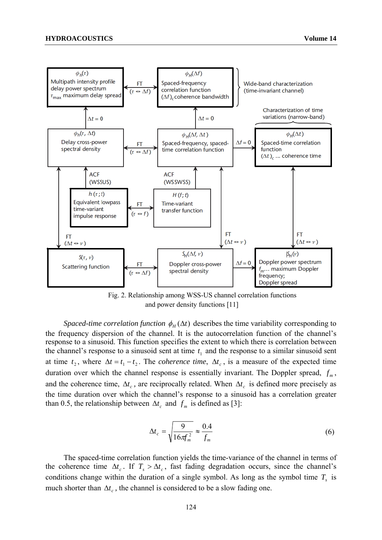

Fig. 2. Relationship among WSS-US channel correlation functions and power density functions [11]

*Spaced-time correlation function*  $\phi_H(\Delta t)$  describes the time variability corresponding to the frequency dispersion of the channel. It is the autocorrelation function of the channel's response to a sinusoid. This function specifies the extent to which there is correlation between the channel's response to a sinusoid sent at time  $t_1$  and the response to a similar sinusoid sent at time  $t_2$ , where  $\Delta t = t_1 - t_2$ . The *coherence time*,  $\Delta t_c$ , is a measure of the expected time duration over which the channel response is essentially invariant. The Doppler spread,  $f_m$ , and the coherence time,  $\Delta t_c$ , are reciprocally related. When  $\Delta t_c$  is defined more precisely as the time duration over which the channel's response to a sinusoid has a correlation greater than 0.5, the relationship between  $\Delta t_c$  and  $f_m$  is defined as [3]:

$$
\Delta t_c = \sqrt{\frac{9}{16\pi f_m^2}} \approx \frac{0.4}{f_m} \tag{6}
$$

The spaced-time correlation function yields the time-variance of the channel in terms of the coherence time  $\Delta t_c$ . If  $T_s > \Delta t_c$ , fast fading degradation occurs, since the channel's conditions change within the duration of a single symbol. As long as the symbol time  $T<sub>s</sub>$  is much shorter than  $\Delta t_c$ , the channel is considered to be a slow fading one.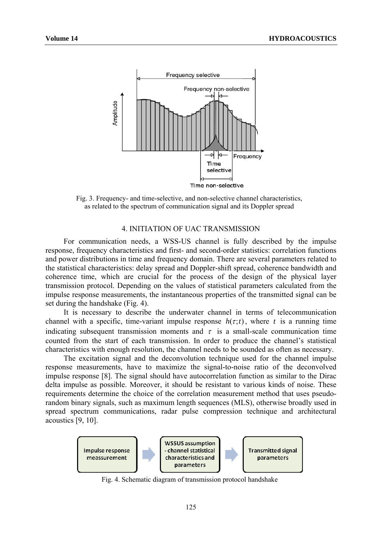

Fig. 3. Frequency- and time-selective, and non-selective channel characteristics, as related to the spectrum of communication signal and its Doppler spread

#### 4. INITIATION OF UAC TRANSMISSION

For communication needs, a WSS-US channel is fully described by the impulse response, frequency characteristics and first- and second-order statistics: correlation functions and power distributions in time and frequency domain. There are several parameters related to the statistical characteristics: delay spread and Doppler-shift spread, coherence bandwidth and coherence time, which are crucial for the process of the design of the physical layer transmission protocol. Depending on the values of statistical parameters calculated from the impulse response measurements, the instantaneous properties of the transmitted signal can be set during the handshake (Fig. 4).

It is necessary to describe the underwater channel in terms of telecommunication channel with a specific, time-variant impulse response  $h(\tau; t)$ , where *t* is a running time indicating subsequent transmission moments and  $\tau$  is a small-scale communication time counted from the start of each transmission. In order to produce the channel's statistical characteristics with enough resolution, the channel needs to be sounded as often as necessary.

The excitation signal and the deconvolution technique used for the channel impulse response measurements, have to maximize the signal-to-noise ratio of the deconvolved impulse response [8]. The signal should have autocorrelation function as similar to the Dirac delta impulse as possible. Moreover, it should be resistant to various kinds of noise. These requirements determine the choice of the correlation measurement method that uses pseudorandom binary signals, such as maximum length sequences (MLS), otherwise broadly used in spread spectrum communications, radar pulse compression technique and architectural acoustics [9, 10].



Fig. 4. Schematic diagram of transmission protocol handshake